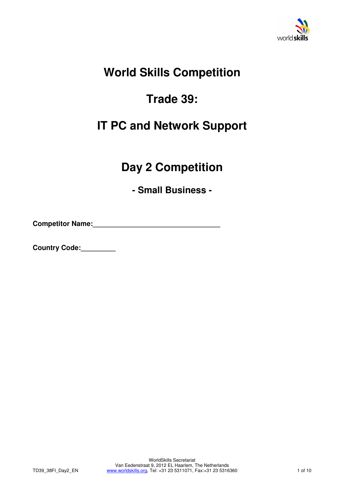

## **World Skills Competition**

# **Trade 39:**

## **IT PC and Network Support**

## **Day 2 Competition**

**- Small Business -** 

**Competitor Name:\_\_\_\_\_\_\_\_\_\_\_\_\_\_\_\_\_\_\_\_\_\_\_\_\_\_\_\_\_\_\_\_\_** 

**Country Code:\_\_\_\_\_\_\_\_\_**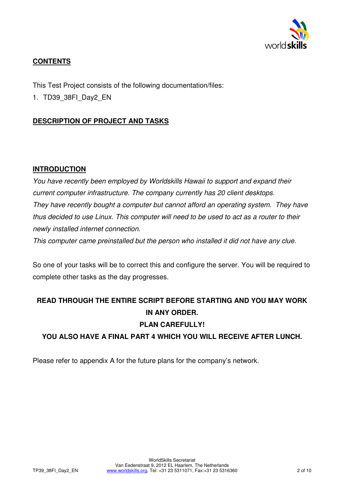

## **CONTENTS**

This Test Project consists of the following documentation/files:

1. TD39\_38FI\_Day2\_EN

## **DESCRIPTION OF PROJECT AND TASKS**

### **INTRODUCTION**

You have recently been employed by Worldskills Hawaii to support and expand their current computer infrastructure. The company currently has 20 client desktops. They have recently bought a computer but cannot afford an operating system. They have thus decided to use Linux. This computer will need to be used to act as a router to their newly installed internet connection.

This computer came preinstalled but the person who installed it did not have any clue.

So one of your tasks will be to correct this and configure the server. You will be required to complete other tasks as the day progresses.

# **READ THROUGH THE ENTIRE SCRIPT BEFORE STARTING AND YOU MAY WORK IN ANY ORDER.**

## **PLAN CAREFULLY!**

**YOU ALSO HAVE A FINAL PART 4 WHICH YOU WILL RECEIVE AFTER LUNCH.** 

Please refer to appendix A for the future plans for the company's network.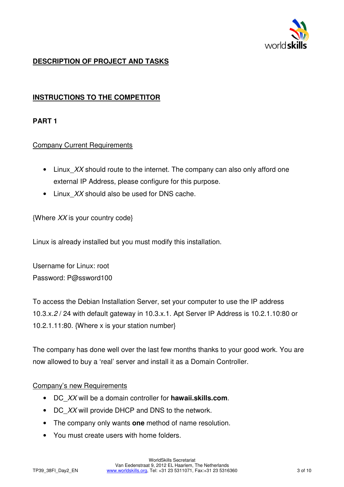

## **DESCRIPTION OF PROJECT AND TASKS**

## **INSTRUCTIONS TO THE COMPETITOR**

### **PART 1**

#### Company Current Requirements

- Linux XX should route to the internet. The company can also only afford one external IP Address, please configure for this purpose.
- Linux XX should also be used for DNS cache.

{Where XX is your country code}

Linux is already installed but you must modify this installation.

Username for Linux: root Password: P@ssword100

To access the Debian Installation Server, set your computer to use the IP address 10.3.x.2 / 24 with default gateway in 10.3.x.1. Apt Server IP Address is 10.2.1.10:80 or 10.2.1.11:80. {Where x is your station number}

The company has done well over the last few months thanks to your good work. You are now allowed to buy a 'real' server and install it as a Domain Controller.

#### Company's new Requirements

- DC\_XX will be a domain controller for **hawaii.skills.com**.
- DC XX will provide DHCP and DNS to the network.
- The company only wants **one** method of name resolution.
- You must create users with home folders.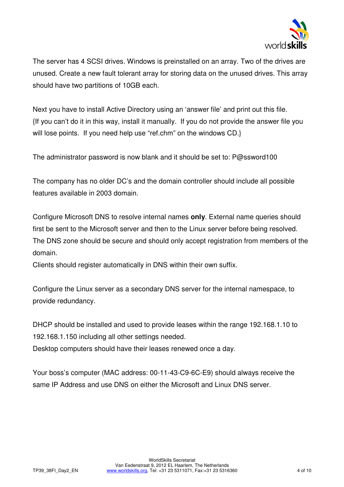

The server has 4 SCSI drives. Windows is preinstalled on an array. Two of the drives are unused. Create a new fault tolerant array for storing data on the unused drives. This array should have two partitions of 10GB each.

Next you have to install Active Directory using an 'answer file' and print out this file. {If you can't do it in this way, install it manually. If you do not provide the answer file you will lose points. If you need help use "ref.chm" on the windows CD.}

The administrator password is now blank and it should be set to: P@ssword100

The company has no older DC's and the domain controller should include all possible features available in 2003 domain.

Configure Microsoft DNS to resolve internal names **only**. External name queries should first be sent to the Microsoft server and then to the Linux server before being resolved. The DNS zone should be secure and should only accept registration from members of the domain.

Clients should register automatically in DNS within their own suffix.

Configure the Linux server as a secondary DNS server for the internal namespace, to provide redundancy.

DHCP should be installed and used to provide leases within the range 192.168.1.10 to 192.168.1.150 including all other settings needed.

Desktop computers should have their leases renewed once a day.

Your boss's computer (MAC address: 00-11-43-C9-6C-E9) should always receive the same IP Address and use DNS on either the Microsoft and Linux DNS server.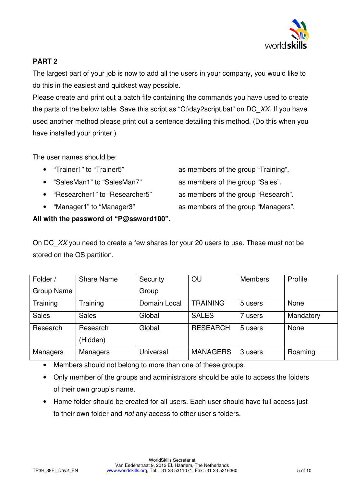

## **PART 2**

The largest part of your job is now to add all the users in your company, you would like to do this in the easiest and quickest way possible.

Please create and print out a batch file containing the commands you have used to create the parts of the below table. Save this script as "C:\day2script.bat" on DC\_XX. If you have used another method please print out a sentence detailing this method. (Do this when you have installed your printer.)

The user names should be:

- "Trainer1" to "Trainer5" as members of the group "Training".
- 
- 
- 

• "SalesMan1" to "SalesMan7" as members of the group "Sales".

- "Researcher1" to "Researcher5" as members of the group "Research".
- "Manager1" to "Manager3" as members of the group "Managers".

### **All with the password of "P@ssword100".**

On DC XX you need to create a few shares for your 20 users to use. These must not be stored on the OS partition.

| Folder /          | <b>Share Name</b>    | Security     | OU              | <b>Members</b> | Profile     |
|-------------------|----------------------|--------------|-----------------|----------------|-------------|
| <b>Group Name</b> |                      | Group        |                 |                |             |
| Training          | Training             | Domain Local | <b>TRAINING</b> | 5 users        | <b>None</b> |
| <b>Sales</b>      | <b>Sales</b>         | Global       | <b>SALES</b>    | 7 users        | Mandatory   |
| Research          | Research<br>(Hidden) | Global       | <b>RESEARCH</b> | 5 users        | <b>None</b> |
| Managers          | Managers             | Universal    | <b>MANAGERS</b> | 3 users        | Roaming     |

• Members should not belong to more than one of these groups.

- Only member of the groups and administrators should be able to access the folders of their own group's name.
- Home folder should be created for all users. Each user should have full access just to their own folder and not any access to other user's folders.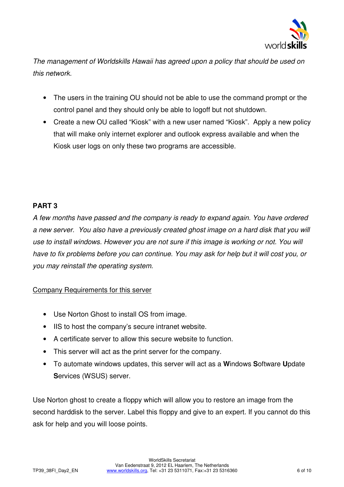

The management of Worldskills Hawaii has agreed upon a policy that should be used on this network.

- The users in the training OU should not be able to use the command prompt or the control panel and they should only be able to logoff but not shutdown.
- Create a new OU called "Kiosk" with a new user named "Kiosk". Apply a new policy that will make only internet explorer and outlook express available and when the Kiosk user logs on only these two programs are accessible.

## **PART 3**

A few months have passed and the company is ready to expand again. You have ordered a new server. You also have a previously created ghost image on a hard disk that you will use to install windows. However you are not sure if this image is working or not. You will have to fix problems before you can continue. You may ask for help but it will cost you, or you may reinstall the operating system.

### Company Requirements for this server

- Use Norton Ghost to install OS from image.
- IIS to host the company's secure intranet website.
- A certificate server to allow this secure website to function.
- This server will act as the print server for the company.
- To automate windows updates, this server will act as a **W**indows **S**oftware **U**pdate **S**ervices (WSUS) server.

Use Norton ghost to create a floppy which will allow you to restore an image from the second harddisk to the server. Label this floppy and give to an expert. If you cannot do this ask for help and you will loose points.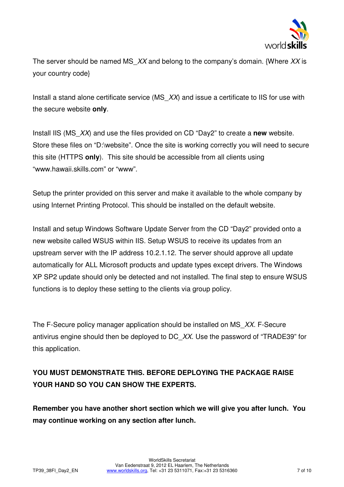

The server should be named MS  $XX$  and belong to the company's domain. {Where XX is your country code}

Install a stand alone certificate service (MS  $XX$ ) and issue a certificate to IIS for use with the secure website **only**.

Install IIS (MS\_XX) and use the files provided on CD "Day2" to create a **new** website. Store these files on "D:\website". Once the site is working correctly you will need to secure this site (HTTPS **only**). This site should be accessible from all clients using "www.hawaii.skills.com" or "www".

Setup the printer provided on this server and make it available to the whole company by using Internet Printing Protocol. This should be installed on the default website.

Install and setup Windows Software Update Server from the CD "Day2" provided onto a new website called WSUS within IIS. Setup WSUS to receive its updates from an upstream server with the IP address 10.2.1.12. The server should approve all update automatically for ALL Microsoft products and update types except drivers. The Windows XP SP2 update should only be detected and not installed. The final step to ensure WSUS functions is to deploy these setting to the clients via group policy.

The F-Secure policy manager application should be installed on MS XX. F-Secure antivirus engine should then be deployed to DC XX. Use the password of "TRADE39" for this application.

## **YOU MUST DEMONSTRATE THIS. BEFORE DEPLOYING THE PACKAGE RAISE YOUR HAND SO YOU CAN SHOW THE EXPERTS.**

**Remember you have another short section which we will give you after lunch. You may continue working on any section after lunch.**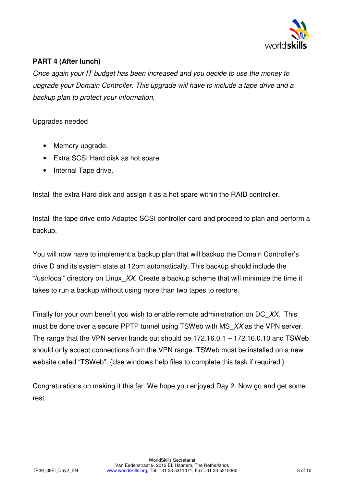

## **PART 4 (After lunch)**

Once again your IT budget has been increased and you decide to use the money to upgrade your Domain Controller. This upgrade will have to include a tape drive and a backup plan to protect your information.

#### Upgrades needed

- Memory upgrade.
- Extra SCSI Hard disk as hot spare.
- Internal Tape drive.

Install the extra Hard disk and assign it as a hot spare within the RAID controller.

Install the tape drive onto Adaptec SCSI controller card and proceed to plan and perform a backup.

You will now have to implement a backup plan that will backup the Domain Controller's drive D and its system state at 12pm automatically. This backup should include the "/usr/local" directory on Linux  $XX$ . Create a backup scheme that will minimize the time it takes to run a backup without using more than two tapes to restore.

Finally for your own benefit you wish to enable remote administration on DC  $XX$ . This must be done over a secure PPTP tunnel using TSWeb with MS XX as the VPN server. The range that the VPN server hands out should be 172.16.0.1 – 172.16.0.10 and TSWeb should only accept connections from the VPN range. TSWeb must be installed on a new website called "TSWeb". {Use windows help files to complete this task if required.}

Congratulations on making it this far. We hope you enjoyed Day 2. Now go and get some rest.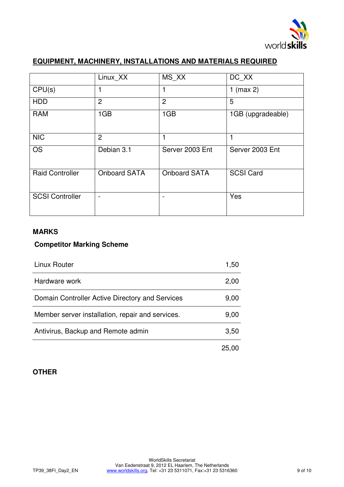

## **EQUIPMENT, MACHINERY, INSTALLATIONS AND MATERIALS REQUIRED**

|                        | Linux XX            | MS XX                    | DC XX             |
|------------------------|---------------------|--------------------------|-------------------|
| CPU(s)                 |                     |                          | 1 (max $2$ )      |
| <b>HDD</b>             | $\overline{2}$      | $\overline{2}$           | 5                 |
| <b>RAM</b>             | 1GB                 | 1GB                      | 1GB (upgradeable) |
| <b>NIC</b>             | $\overline{2}$      | 1                        |                   |
| <b>OS</b>              | Debian 3.1          | Server 2003 Ent          | Server 2003 Ent   |
| <b>Raid Controller</b> | <b>Onboard SATA</b> | <b>Onboard SATA</b>      | <b>SCSI Card</b>  |
| <b>SCSI Controller</b> |                     | $\overline{\phantom{a}}$ | Yes               |

#### **MARKS**

#### **Competitor Marking Scheme**

| Linux Router                                     | 1,50 |
|--------------------------------------------------|------|
| Hardware work                                    | 2,00 |
| Domain Controller Active Directory and Services  | 9,00 |
| Member server installation, repair and services. | 9,00 |
| Antivirus, Backup and Remote admin               |      |
|                                                  |      |

## **OTHER**